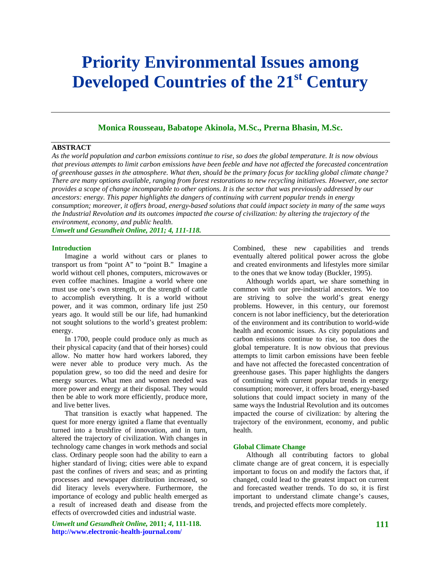# **Priority Environmental Issues among**  Developed Countries of the 21<sup>st</sup> Century

## **Monica Rousseau, Babatope Akinola, M.Sc., Prerna Bhasin, M.Sc.**

#### **ABSTRACT**

*As the world population and carbon emissions continue to rise, so does the global temperature. It is now obvious that previous attempts to limit carbon emissions have been feeble and have not affected the forecasted concentration of greenhouse gasses in the atmosphere. What then, should be the primary focus for tackling global climate change? There are many options available, ranging from forest restorations to new recycling initiatives. However, one sector provides a scope of change incomparable to other options. It is the sector that was previously addressed by our ancestors: energy. This paper highlights the dangers of continuing with current popular trends in energy consumption; moreover, it offers broad, energy-based solutions that could impact society in many of the same ways the Industrial Revolution and its outcomes impacted the course of civilization: by altering the trajectory of the environment, economy, and public health*. *Umwelt und Gesundheit Online, 2011; 4, 111-118.* 

#### **Introduction**

Imagine a world without cars or planes to transport us from "point A" to "point B." Imagine a world without cell phones, computers, microwaves or even coffee machines. Imagine a world where one must use one's own strength, or the strength of cattle to accomplish everything. It is a world without power, and it was common, ordinary life just 250 years ago. It would still be our life, had humankind not sought solutions to the world's greatest problem: energy.

In 1700, people could produce only as much as their physical capacity (and that of their horses) could allow. No matter how hard workers labored, they were never able to produce very much. As the population grew, so too did the need and desire for energy sources. What men and women needed was more power and energy at their disposal. They would then be able to work more efficiently, produce more, and live better lives.

That transition is exactly what happened. The quest for more energy ignited a flame that eventually turned into a brushfire of innovation, and in turn, altered the trajectory of civilization. With changes in technology came changes in work methods and social class. Ordinary people soon had the ability to earn a higher standard of living; cities were able to expand past the confines of rivers and seas; and as printing processes and newspaper distribution increased, so did literacy levels everywhere. Furthermore, the importance of ecology and public health emerged as a result of increased death and disease from the effects of overcrowded cities and industrial waste.

*Umwelt und Gesundheit Online,* **2011;** *4***, 111-118. http://www.electronic-health-journal.com/** 

Combined, these new capabilities and trends eventually altered political power across the globe and created environments and lifestyles more similar to the ones that we know today (Buckler, 1995).

Although worlds apart, we share something in common with our pre-industrial ancestors. We too are striving to solve the world's great energy problems. However, in this century, our foremost concern is not labor inefficiency, but the deterioration of the environment and its contribution to world-wide health and economic issues. As city populations and carbon emissions continue to rise, so too does the global temperature. It is now obvious that previous attempts to limit carbon emissions have been feeble and have not affected the forecasted concentration of greenhouse gases. This paper highlights the dangers of continuing with current popular trends in energy consumption; moreover, it offers broad, energy-based solutions that could impact society in many of the same ways the Industrial Revolution and its outcomes impacted the course of civilization: by altering the trajectory of the environment, economy, and public health.

## **Global Climate Change**

Although all contributing factors to global climate change are of great concern, it is especially important to focus on and modify the factors that, if changed, could lead to the greatest impact on current and forecasted weather trends. To do so, it is first important to understand climate change's causes, trends, and projected effects more completely.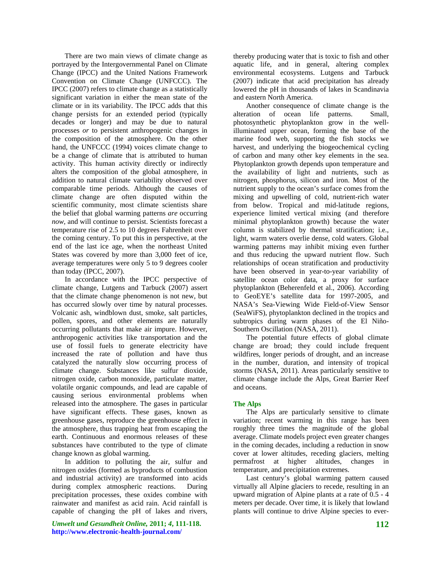There are two main views of climate change as portrayed by the Intergovernmental Panel on Climate Change (IPCC) and the United Nations Framework Convention on Climate Change (UNFCCC). The IPCC (2007) refers to climate change as a statistically significant variation in either the mean state of the climate or in its variability. The IPCC adds that this change persists for an extended period (typically decades or longer) and may be due to natural processes *or* to persistent anthropogenic changes in the composition of the atmosphere. On the other hand, the UNFCCC (1994) voices climate change to be a change of climate that is attributed to human activity. This human activity directly or indirectly alters the composition of the global atmosphere, in addition to natural climate variability observed over comparable time periods. Although the causes of climate change are often disputed within the scientific community, most climate scientists share the belief that global warming patterns *are* occurring *now,* and will continue to persist. Scientists forecast a temperature rise of 2.5 to 10 degrees Fahrenheit over the coming century. To put this in perspective, at the end of the last ice age, when the northeast United States was covered by more than 3,000 feet of ice, average temperatures were only 5 to 9 degrees cooler than today (IPCC, 2007).

In accordance with the IPCC perspective of climate change, Lutgens and Tarbuck (2007) assert that the climate change phenomenon is not new, but has occurred slowly over time by natural processes. Volcanic ash, windblown dust, smoke, salt particles, pollen, spores, and other elements are naturally occurring pollutants that make air impure. However, anthropogenic activities like transportation and the use of fossil fuels to generate electricity have increased the rate of pollution and have thus catalyzed the naturally slow occurring process of climate change. Substances like sulfur dioxide, nitrogen oxide, carbon monoxide, particulate matter, volatile organic compounds, and lead are capable of causing serious environmental problems when released into the atmosphere. The gases in particular have significant effects. These gases, known as greenhouse gases, reproduce the greenhouse effect in the atmosphere, thus trapping heat from escaping the earth. Continuous and enormous releases of these substances have contributed to the type of climate change known as global warming.

In addition to polluting the air, sulfur and nitrogen oxides (formed as byproducts of combustion and industrial activity) are transformed into acids during complex atmospheric reactions. During precipitation processes, these oxides combine with rainwater and manifest as acid rain. Acid rainfall is capable of changing the pH of lakes and rivers,

*Umwelt und Gesundheit Online,* **2011;** *4***, 111-118. http://www.electronic-health-journal.com/** 

thereby producing water that is toxic to fish and other aquatic life, and in general, altering complex environmental ecosystems. Lutgens and Tarbuck (2007) indicate that acid precipitation has already lowered the pH in thousands of lakes in Scandinavia and eastern North America.

Another consequence of climate change is the alteration of ocean life patterns. Small, photosynthetic phytoplankton grow in the wellilluminated upper ocean, forming the base of the marine food web, supporting the fish stocks we harvest, and underlying the biogeochemical cycling of carbon and many other key elements in the sea. Phytoplankton growth depends upon temperature and the availability of light and nutrients, such as nitrogen, phosphorus, silicon and iron. Most of the nutrient supply to the ocean's surface comes from the mixing and upwelling of cold, nutrient-rich water from below. Tropical and mid-latitude regions, experience limited vertical mixing (and therefore minimal phytoplankton growth) because the water column is stabilized by thermal stratification; i.e., light, warm waters overlie dense, cold waters. Global warming patterns may inhibit mixing even further and thus reducing the upward nutrient flow. Such relationships of ocean stratification and productivity have been observed in year-to-year variability of satellite ocean color data, a proxy for surface phytoplankton (Beherenfeld et al., 2006). According to GeoEYE's satellite data for 1997-2005, and NASA's Sea-Viewing Wide Field-of-View Sensor (SeaWiFS), phytoplankton declined in the tropics and subtropics during warm phases of the El Niño-Southern Oscillation (NASA, 2011).

The potential future effects of global climate change are broad; they could include frequent wildfires, longer periods of drought, and an increase in the number, duration, and intensity of tropical storms (NASA, 2011). Areas particularly sensitive to climate change include the Alps, Great Barrier Reef and oceans.

## **The Alps**

The Alps are particularly sensitive to climate variation; recent warming in this range has been roughly three times the magnitude of the global average. Climate models project even greater changes in the coming decades, including a reduction in snow cover at lower altitudes, receding glaciers, melting permafrost at higher altitudes, changes in temperature, and precipitation extremes.

Last century's global warming pattern caused virtually all Alpine glaciers to recede, resulting in an upward migration of Alpine plants at a rate of 0.5 - 4 meters per decade. Over time, it is likely that lowland plants will continue to drive Alpine species to ever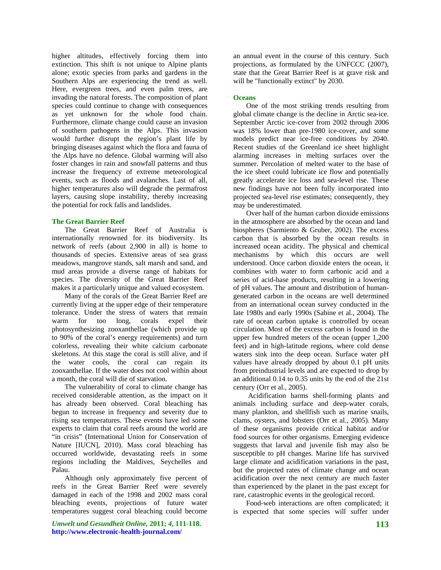higher altitudes, effectively forcing them into extinction. This shift is not unique to Alpine plants alone; exotic species from parks and gardens in the Southern Alps are experiencing the trend as well. Here, evergreen trees, and even palm trees, are invading the natural forests. The composition of plant species could continue to change with consequences as yet unknown for the whole food chain. Furthermore, climate change could cause an invasion of southern pathogens in the Alps. This invasion would further disrupt the region's plant life by bringing diseases against which the flora and fauna of the Alps have no defence. Global warming will also foster changes in rain and snowfall patterns and thus increase the frequency of extreme meteorological events, such as floods and avalanches. Last of all, higher temperatures also will degrade the permafrost layers, causing slope instability, thereby increasing the potential for rock falls and landslides.

## **The Great Barrier Reef**

The Great Barrier Reef of Australia is internationally renowned for its biodiversity. Its network of reefs (about 2,900 in all) is home to thousands of species. Extensive areas of sea grass meadows, mangrove stands, salt marsh and sand, and mud areas provide a diverse range of habitats for species. The diversity of the Great Barrier Reef makes it a particularly unique and valued ecosystem.

Many of the corals of the Great Barrier Reef are currently living at the upper edge of their temperature tolerance. Under the stress of waters that remain warm for too long, corals expel their photosynthesizing zooxanthellae (which provide up to 90% of the coral's energy requirements) and turn colorless, revealing their white calcium carbonate skeletons. At this stage the coral is still alive, and if the water cools, the coral can regain its zooxanthellae. If the water does not cool within about a month, the coral will die of starvation.

The vulnerability of coral to climate change has received considerable attention, as the impact on it has already been observed. Coral bleaching has begun to increase in frequency and severity due to rising sea temperatures. These events have led some experts to claim that coral reefs around the world are "in crisis" (International Union for Conservation of Nature [IUCN], 2010). Mass coral bleaching has occurred worldwide, devastating reefs in some regions including the Maldives, Seychelles and Palau.

Although only approximately five percent of reefs in the Great Barrier Reef were severely damaged in each of the 1998 and 2002 mass coral bleaching events, projections of future water temperatures suggest coral bleaching could become

*Umwelt und Gesundheit Online,* **2011;** *4***, 111-118. http://www.electronic-health-journal.com/** 

an annual event in the course of this century. Such projections, as formulated by the UNFCCC (2007), state that the Great Barrier Reef is at grave risk and will be "functionally extinct" by 2030.

## **Oceans**

One of the most striking trends resulting from global climate change is the decline in Arctic sea-ice. September Arctic ice-cover from 2002 through 2006 was 18% lower than pre-1980 ice-cover, and some models predict near ice-free conditions by 2040. Recent studies of the Greenland ice sheet highlight alarming increases in melting surfaces over the summer. Percolation of melted water to the base of the ice sheet could lubricate ice flow and potentially greatly accelerate ice loss and sea-level rise. These new findings have not been fully incorporated into projected sea-level rise estimates; consequently, they may be underestimated.

Over half of the human carbon dioxide emissions in the atmosphere are absorbed by the ocean and land biospheres (Sarmiento & Gruber, 2002). The excess carbon that is absorbed by the ocean results in increased ocean acidity. The physical and chemical mechanisms by which this occurs are well understood. Once carbon dioxide enters the ocean, it combines with water to form carbonic acid and a series of acid-base products, resulting in a lowering of pH values. The amount and distribution of humangenerated carbon in the oceans are well determined from an international ocean survey conducted in the late 1980s and early 1990s (Sabine et al., 2004). The rate of ocean carbon uptake is controlled by ocean circulation. Most of the excess carbon is found in the upper few hundred meters of the ocean (upper 1,200 feet) and in high-latitude regions, where cold dense waters sink into the deep ocean. Surface water pH values have already dropped by about 0.1 pH units from preindustrial levels and are expected to drop by an additional 0.14 to 0.35 units by the end of the 21st century (Orr et al., 2005).

 Acidification harms shell-forming plants and animals including surface and deep-water corals, many plankton, and shellfish such as marine snails, clams, oysters, and lobsters (Orr et al., 2005). Many of these organisms provide critical habitat and/or food sources for other organisms. Emerging evidence suggests that larval and juvenile fish may also be susceptible to pH changes. Marine life has survived large climate and acidification variations in the past, but the projected rates of climate change and ocean acidification over the next century are much faster than experienced by the planet in the past except for rare, catastrophic events in the geological record.

Food-web interactions are often complicated; it is expected that some species will suffer under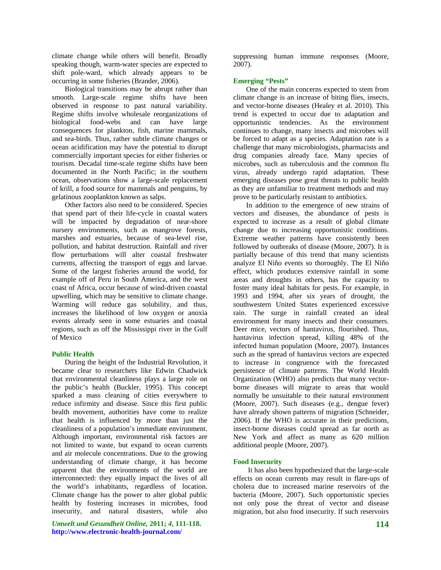climate change while others will benefit. Broadly speaking though, warm-water species are expected to shift pole-ward, which already appears to be occurring in some fisheries (Brander, 2006).

Biological transitions may be abrupt rather than smooth. Large-scale regime shifts have been observed in response to past natural variability. Regime shifts involve wholesale reorganizations of biological food-webs and can have large consequences for plankton, fish, marine mammals, and sea-birds. Thus, rather subtle climate changes or ocean acidification may have the potential to disrupt commercially important species for either fisheries or tourism. Decadal time-scale regime shifts have been documented in the North Pacific; in the southern ocean, observations show a large-scale replacement of krill, a food source for mammals and penguins, by gelatinous zooplankton known as salps.

Other factors also need to be considered. Species that spend part of their life-cycle in coastal waters will be impacted by degradation of near-shore nursery environments, such as mangrove forests, marshes and estuaries, because of sea-level rise, pollution, and habitat destruction. Rainfall and river flow perturbations will alter coastal freshwater currents, affecting the transport of eggs and larvae. Some of the largest fisheries around the world, for example off of Peru in South America, and the west coast of Africa, occur because of wind-driven coastal upwelling, which may be sensitive to climate change. Warming will reduce gas solubility, and thus, increases the likelihood of low oxygen or anoxia events already seen in some estuaries and coastal regions, such as off the Mississippi river in the Gulf of Mexico

## **Public Health**

During the height of the Industrial Revolution, it became clear to researchers like Edwin Chadwick that environmental cleanliness plays a large role on the public's health (Buckler, 1995). This concept sparked a mass cleaning of cities everywhere to reduce infirmity and disease. Since this first public health movement, authorities have come to realize that health is influenced by more than just the cleanliness of a population's immediate environment. Although important, environmental risk factors are not limited to waste, but expand to ocean currents and air molecule concentrations. Due to the growing understanding of climate change, it has become apparent that the environments of the world are interconnected: they equally impact the lives of all the world's inhabitants, regardless of location. Climate change has the power to alter global public health by fostering increases in microbes, food insecurity, and natural disasters, while also

*Umwelt und Gesundheit Online,* **2011;** *4***, 111-118. http://www.electronic-health-journal.com/** 

suppressing human immune responses (Moore, 2007).

#### **Emerging "Pests"**

One of the main concerns expected to stem from climate change is an increase of biting flies, insects, and vector-borne diseases (Healey et al. 2010). This trend is expected to occur due to adaptation and opportunistic tendencies. As the environment continues to change, many insects and microbes will be forced to adapt as a species. Adaptation rate is a challenge that many microbiologists, pharmacists and drug companies already face. Many species of microbes, such as tuberculosis and the common flu virus, already undergo rapid adaptation. These emerging diseases pose great threats to public health as they are unfamiliar to treatment methods and may prove to be particularly resistant to antibiotics.

In addition to the emergence of new strains of vectors and diseases, the abundance of pests is expected to increase as a result of global climate change due to increasing opportunistic conditions. Extreme weather patterns have consistently been followed by outbreaks of disease (Moore, 2007). It is partially because of this trend that many scientists analyze El Niño events so thoroughly. The El Niño effect, which produces extensive rainfall in some areas and droughts in others, has the capacity to foster many ideal habitats for pests. For example, in 1993 and 1994, after six years of drought, the southwestern United States experienced excessive rain. The surge in rainfall created an ideal environment for many insects and their consumers. Deer mice, vectors of hantavirus, flourished. Thus, hantavirus infection spread, killing 48% of the infected human population (Moore, 2007). Instances such as the spread of hantavirus vectors are expected to increase in congruence with the forecasted persistence of climate patterns. The World Health Organization (WHO) also predicts that many vectorborne diseases will migrate to areas that would normally be unsuitable to their natural environment (Moore, 2007). Such diseases (e.g., dengue fever) have already shown patterns of migration (Schneider, 2006). If the WHO is accurate in their predictions, insect-borne diseases could spread as far north as New York and affect as many as 620 million additional people (Moore, 2007).

#### **Food Insecurity**

 It has also been hypothesized that the large-scale effects on ocean currents may result in flare-ups of cholera due to increased marine reservoirs of the bacteria (Moore, 2007). Such opportunistic species not only pose the threat of vector and disease migration, but also food insecurity. If such reservoirs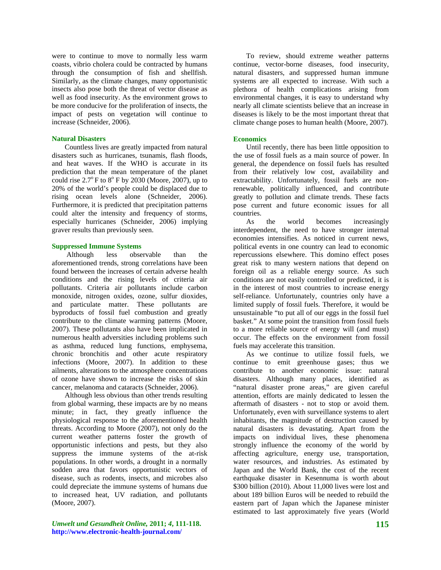were to continue to move to normally less warm coasts, vibrio cholera could be contracted by humans through the consumption of fish and shellfish. Similarly, as the climate changes, many opportunistic insects also pose both the threat of vector disease as well as food insecurity. As the environment grows to be more conducive for the proliferation of insects, the impact of pests on vegetation will continue to increase (Schneider, 2006).

#### **Natural Disasters**

Countless lives are greatly impacted from natural disasters such as hurricanes, tsunamis, flash floods, and heat waves. If the WHO is accurate in its prediction that the mean temperature of the planet could rise  $2.7^{\circ}$  F to  $8^{\circ}$  F by 2030 (Moore, 2007), up to 20% of the world's people could be displaced due to rising ocean levels alone (Schneider, 2006). Furthermore, it is predicted that precipitation patterns could alter the intensity and frequency of storms, especially hurricanes (Schneider, 2006) implying graver results than previously seen.

## **Suppressed Immune Systems**

 Although less observable than the aforementioned trends, strong correlations have been found between the increases of certain adverse health conditions and the rising levels of criteria air pollutants. Criteria air pollutants include carbon monoxide, nitrogen oxides, ozone, sulfur dioxides, and particulate matter. These pollutants are byproducts of fossil fuel combustion and greatly contribute to the climate warming patterns (Moore, 2007). These pollutants also have been implicated in numerous health adversities including problems such as asthma, reduced lung functions, emphysema, chronic bronchitis and other acute respiratory infections (Moore, 2007). In addition to these ailments, alterations to the atmosphere concentrations of ozone have shown to increase the risks of skin cancer, melanoma and cataracts (Schneider, 2006).

Although less obvious than other trends resulting from global warming, these impacts are by no means minute; in fact, they greatly influence the physiological response to the aforementioned health threats. According to Moore (2007), not only do the current weather patterns foster the growth of opportunistic infections and pests, but they also suppress the immune systems of the at-risk populations. In other words, a drought in a normally sodden area that favors opportunistic vectors of disease, such as rodents, insects, and microbes also could depreciate the immune systems of humans due to increased heat, UV radiation, and pollutants (Moore, 2007).

*Umwelt und Gesundheit Online,* **2011;** *4***, 111-118. http://www.electronic-health-journal.com/** 

To review, should extreme weather patterns continue, vector-borne diseases, food insecurity, natural disasters, and suppressed human immune systems are all expected to increase. With such a plethora of health complications arising from environmental changes, it is easy to understand why nearly all climate scientists believe that an increase in diseases is likely to be the most important threat that climate change poses to human health (Moore, 2007).

#### **Economics**

Until recently, there has been little opposition to the use of fossil fuels as a main source of power. In general, the dependence on fossil fuels has resulted from their relatively low cost, availability and extractability. Unfortunately, fossil fuels are nonrenewable, politically influenced, and contribute greatly to pollution and climate trends. These facts pose current and future economic issues for all countries.

As the world becomes increasingly interdependent, the need to have stronger internal economies intensifies. As noticed in current news, political events in one country can lead to economic repercussions elsewhere. This domino effect poses great risk to many western nations that depend on foreign oil as a reliable energy source. As such conditions are not easily controlled or predicted, it is in the interest of most countries to increase energy self-reliance. Unfortunately, countries only have a limited supply of fossil fuels. Therefore, it would be unsustainable "to put all of our eggs in the fossil fuel basket." At some point the transition from fossil fuels to a more reliable source of energy will (and must) occur. The effects on the environment from fossil fuels may accelerate this transition.

As we continue to utilize fossil fuels, we continue to emit greenhouse gases; thus we contribute to another economic issue: natural disasters. Although many places, identified as "natural disaster prone areas," are given careful attention, efforts are mainly dedicated to lessen the aftermath of disasters - not to stop or avoid them. Unfortunately, even with surveillance systems to alert inhabitants, the magnitude of destruction caused by natural disasters is devastating. Apart from the impacts on individual lives, these phenomena strongly influence the economy of the world by affecting agriculture, energy use, transportation, water resources, and industries. As estimated by Japan and the World Bank, the cost of the recent earthquake disaster in Kesennuma is worth about \$300 billion (2010). About 11,000 lives were lost and about 189 billion Euros will be needed to rebuild the eastern part of Japan which the Japanese minister estimated to last approximately five years (World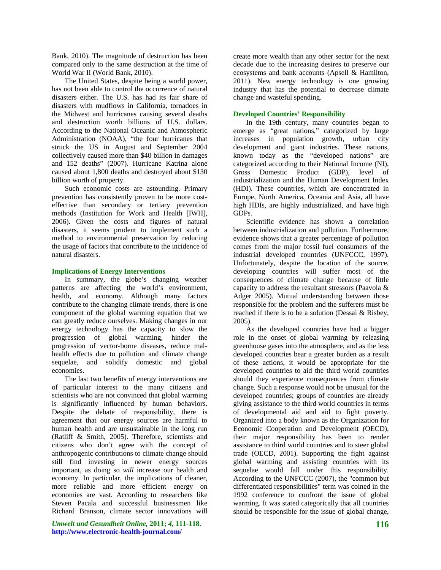Bank, 2010). The magnitude of destruction has been compared only to the same destruction at the time of World War II (World Bank, 2010).

The United States, despite being a world power, has not been able to control the occurrence of natural disasters either. The U.S. has had its fair share of disasters with mudflows in California, tornadoes in the Midwest and hurricanes causing several deaths and destruction worth billions of U.S. dollars. According to the National Oceanic and Atmospheric Administration (NOAA), "the four hurricanes that struck the US in August and September 2004 collectively caused more than \$40 billion in damages and 152 deaths" (2007). Hurricane Katrina alone caused about 1,800 deaths and destroyed about \$130 billion worth of property.

Such economic costs are astounding. Primary prevention has consistently proven to be more costeffective than secondary or tertiary prevention methods (Institution for Work and Health [IWH], 2006). Given the costs and figures of natural disasters, it seems prudent to implement such a method to environmental preservation by reducing the usage of factors that contribute to the incidence of natural disasters.

## **Implications of Energy Interventions**

In summary, the globe's changing weather patterns are affecting the world's environment, health, and economy. Although many factors contribute to the changing climate trends, there is one component of the global warming equation that we can greatly reduce ourselves. Making changes in our energy technology has the capacity to slow the progression of global warming, hinder the progression of vector-borne diseases, reduce malhealth effects due to pollution and climate change sequelae, and solidify domestic and global economies.

The last two benefits of energy interventions are of particular interest to the many citizens and scientists who are not convinced that global warming is significantly influenced by human behaviors. Despite the debate of responsibility, there is agreement that our energy sources are harmful to human health and are unsustainable in the long run (Ratliff & Smith, 2005). Therefore, scientists and citizens who don't agree with the concept of anthropogenic contributions to climate change should still find investing in newer energy sources important, as doing so *will* increase our health and economy. In particular, the implications of cleaner, more reliable and more efficient energy on economies are vast. According to researchers like Steven Pacala and successful businessmen like Richard Branson, climate sector innovations will

*Umwelt und Gesundheit Online,* **2011;** *4***, 111-118. http://www.electronic-health-journal.com/** 

create more wealth than any other sector for the next decade due to the increasing desires to preserve our ecosystems and bank accounts (Apsell & Hamilton, 2011). New energy technology is one growing industry that has the potential to decrease climate change and wasteful spending.

## **Developed Countries' Responsibility**

In the 19th century, many countries began to emerge as "great nations," categorized by large increases in population growth, urban city development and giant industries. These nations, known today as the "developed nations" are categorized according to their National Income (NI), Gross Domestic Product (GDP), level of industrialization and the Human Development Index (HDI). These countries, which are concentrated in Europe, North America, Oceania and Asia, all have high HDIs, are highly industrialized, and have high GDPs.

Scientific evidence has shown a correlation between industrialization and pollution. Furthermore, evidence shows that a greater percentage of pollution comes from the major fossil fuel consumers of the industrial developed countries (UNFCCC, 1997). Unfortunately, despite the location of the source, developing countries will suffer most of the consequences of climate change because of little capacity to address the resultant stressors (Paavola & Adger 2005). Mutual understanding between those responsible for the problem and the sufferers must be reached if there is to be a solution (Dessai & Risbey, 2005).

As the developed countries have had a bigger role in the onset of global warming by releasing greenhouse gases into the atmosphere, and as the less developed countries bear a greater burden as a result of these actions, it would be appropriate for the developed countries to aid the third world countries should they experience consequences from climate change. Such a response would not be unusual for the developed countries; groups of countries are already giving assistance to the third world countries in terms of developmental aid and aid to fight poverty. Organized into a body known as the Organization for Economic Cooperation and Development (OECD), their major responsibility has been to render assistance to third world countries and to steer global trade (OECD, 2001). Supporting the fight against global warming and assisting countries with its sequelae would fall under this responsibility. According to the UNFCCC (2007), the "common but differentiated responsibilities" term was coined in the 1992 conference to confront the issue of global warming. It was stated categorically that all countries should be responsible for the issue of global change,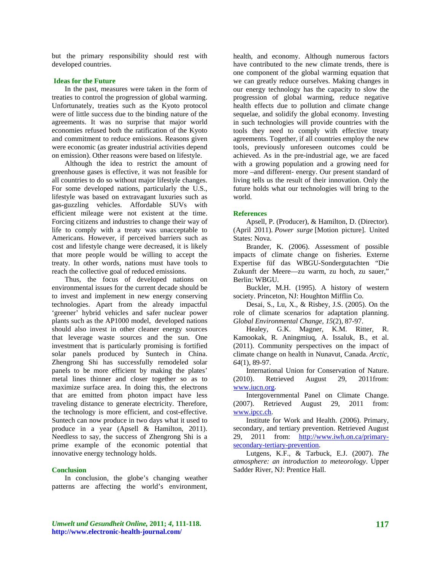but the primary responsibility should rest with developed countries.

### **Ideas for the Future**

In the past, measures were taken in the form of treaties to control the progression of global warming. Unfortunately, treaties such as the Kyoto protocol were of little success due to the binding nature of the agreements. It was no surprise that major world economies refused both the ratification of the Kyoto and commitment to reduce emissions. Reasons given were economic (as greater industrial activities depend on emission). Other reasons were based on lifestyle.

Although the idea to restrict the amount of greenhouse gases is effective, it was not feasible for all countries to do so without major lifestyle changes. For some developed nations, particularly the U.S., lifestyle was based on extravagant luxuries such as gas-guzzling vehicles. Affordable SUVs with efficient mileage were not existent at the time. Forcing citizens and industries to change their way of life to comply with a treaty was unacceptable to Americans. However, if perceived barriers such as cost and lifestyle change were decreased, it is likely that more people would be willing to accept the treaty. In other words, nations must have tools to reach the collective goal of reduced emissions.

Thus, the focus of developed nations on environmental issues for the current decade should be to invest and implement in new energy conserving technologies. Apart from the already impactful 'greener' hybrid vehicles and safer nuclear power plants such as the AP1000 model, developed nations should also invest in other cleaner energy sources that leverage waste sources and the sun. One investment that is particularly promising is fortified solar panels produced by Suntech in China. Zhengrong Shi has successfully remodeled solar panels to be more efficient by making the plates' metal lines thinner and closer together so as to maximize surface area. In doing this, the electrons that are emitted from photon impact have less traveling distance to generate electricity. Therefore, the technology is more efficient, and cost-effective. Suntech can now produce in two days what it used to produce in a year (Apsell & Hamilton, 2011). Needless to say, the success of Zhengrong Shi is a prime example of the economic potential that innovative energy technology holds.

#### **Conclusion**

In conclusion, the globe's changing weather patterns are affecting the world's environment, health, and economy. Although numerous factors have contributed to the new climate trends, there is one component of the global warming equation that we can greatly reduce ourselves. Making changes in our energy technology has the capacity to slow the progression of global warming, reduce negative health effects due to pollution and climate change sequelae, and solidify the global economy. Investing in such technologies will provide countries with the tools they need to comply with effective treaty agreements. Together, if all countries employ the new tools, previously unforeseen outcomes could be achieved. As in the pre-industrial age, we are faced with a growing population and a growing need for more –and different- energy. Our present standard of living tells us the result of their innovation. Only the future holds what our technologies will bring to the world.

#### **References**

Apsell, P. (Producer), & Hamilton, D. (Director). (April 2011). *Power surge* [Motion picture]. United States: Nova.

Brander, K. (2006). Assessment of possible impacts of climate change on fisheries. Externe Expertise füf das WBGU-Sondergutachten "Die Zukunft der Meere—zu warm, zu hoch, zu sauer," Berlin: WBGU.

Buckler, M.H. (1995). A history of western society. Princeton, NJ: Houghton Mifflin Co.

Desai, S., Lu, X., & Risbey, J.S. (2005). On the role of climate scenarios for adaptation planning. *Global Environmental Change, 15*(2), 87-97.

Healey, G.K. Magner, K.M. Ritter, R. Kamookak, R. Aningmiuq, A. Issaluk, B., et al. (2011). Community perspectives on the impact of climate change on health in Nunavut, Canada. *Arctic*, *64*(1), 89-97.

International Union for Conservation of Nature. (2010). Retrieved August 29, 2011from: [www.iucn.org](http://www.iucn.org/).

Intergovernmental Panel on Climate Change. (2007). Retrieved August 29, 2011 from: [www.ipcc.ch.](http://www.ipcc.ch/)

Institute for Work and Health. (2006). Primary, secondary, and tertiary prevention. Retrieved August 29, 2011 from: [http://www.iwh.on.ca/primary](http://www.iwh.on.ca/primary-secondary-tertiary-prevention)[secondary-tertiary-prevention.](http://www.iwh.on.ca/primary-secondary-tertiary-prevention)

Lutgens, K.F., & Tarbuck, E.J. (2007). *The atmosphere: an introduction to meteorology*. Upper Sadder River, NJ: Prentice Hall.